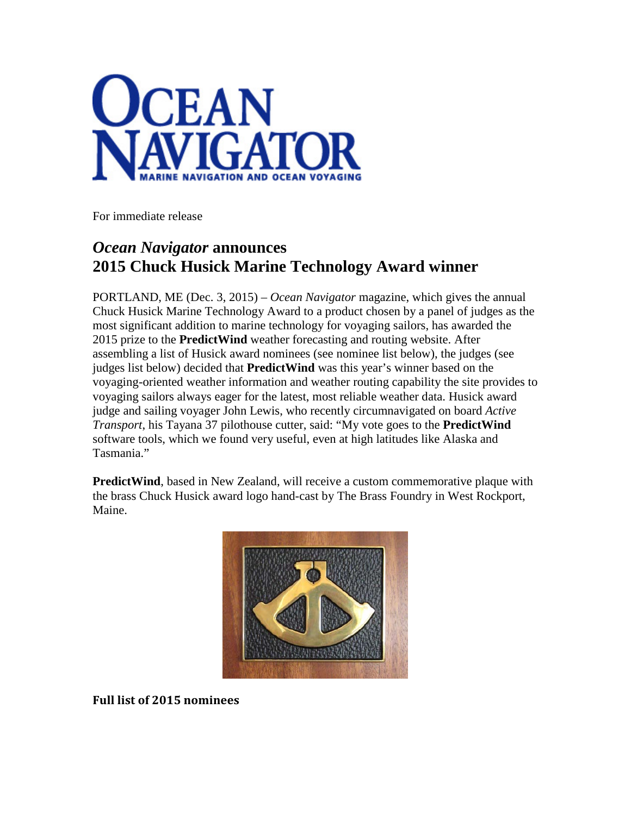

For immediate release

## *Ocean Navigator* **announces 2015 Chuck Husick Marine Technology Award winner**

PORTLAND, ME (Dec. 3, 2015) – *Ocean Navigator* magazine, which gives the annual Chuck Husick Marine Technology Award to a product chosen by a panel of judges as the most significant addition to marine technology for voyaging sailors, has awarded the 2015 prize to the **PredictWind** weather forecasting and routing website. After assembling a list of Husick award nominees (see nominee list below), the judges (see judges list below) decided that **PredictWind** was this year's winner based on the voyaging-oriented weather information and weather routing capability the site provides to voyaging sailors always eager for the latest, most reliable weather data. Husick award judge and sailing voyager John Lewis, who recently circumnavigated on board *Active Transport*, his Tayana 37 pilothouse cutter, said: "My vote goes to the **PredictWind** software tools, which we found very useful, even at high latitudes like Alaska and Tasmania."

**PredictWind**, based in New Zealand, will receive a custom commemorative plaque with the brass Chuck Husick award logo hand-cast by The Brass Foundry in West Rockport, Maine.



**Full list of 2015 nominees**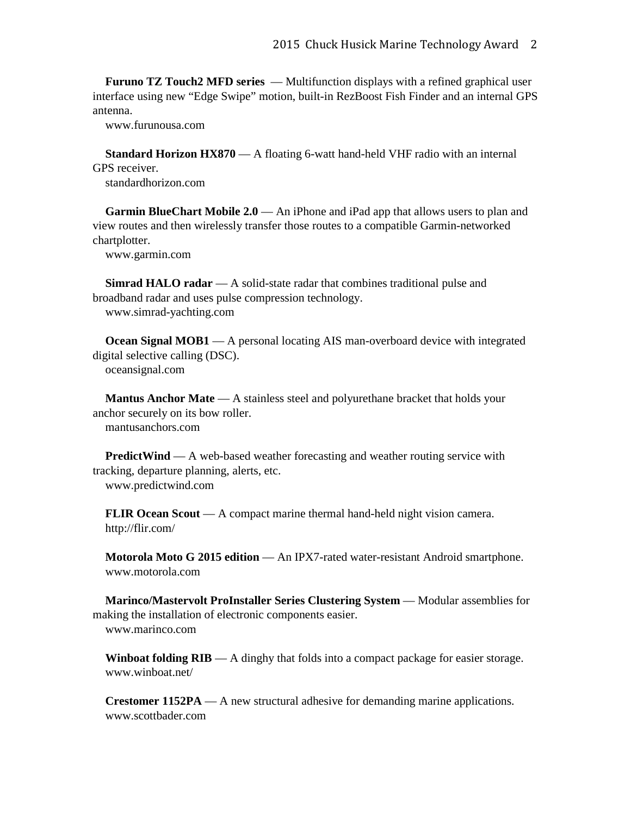**Furuno TZ Touch2 MFD series** — Multifunction displays with a refined graphical user interface using new "Edge Swipe" motion, built-in RezBoost Fish Finder and an internal GPS antenna.

www.furunousa.com

**Standard Horizon HX870** — A floating 6-watt hand-held VHF radio with an internal GPS receiver. standardhorizon.com

**Garmin BlueChart Mobile 2.0** — An iPhone and iPad app that allows users to plan and view routes and then wirelessly transfer those routes to a compatible Garmin-networked chartplotter.

www.garmin.com

**Simrad HALO radar** — A solid-state radar that combines traditional pulse and broadband radar and uses pulse compression technology. www.simrad-yachting.com

**Ocean Signal MOB1** — A personal locating AIS man-overboard device with integrated digital selective calling (DSC). oceansignal.com

**Mantus Anchor Mate** — A stainless steel and polyurethane bracket that holds your anchor securely on its bow roller. mantusanchors.com

**PredictWind** — A web-based weather forecasting and weather routing service with tracking, departure planning, alerts, etc. www.predictwind.com

**FLIR Ocean Scout** — A compact marine thermal hand-held night vision camera. http://flir.com/

**Motorola Moto G 2015 edition** — An IPX7-rated water-resistant Android smartphone. www.motorola.com

**Marinco/Mastervolt ProInstaller Series Clustering System** — Modular assemblies for making the installation of electronic components easier. www.marinco.com

**Winboat folding**  $RIB - A$  **dinghy that folds into a compact package for easier storage.** www.winboat.net/

**Crestomer 1152PA** — A new structural adhesive for demanding marine applications. www.scottbader.com